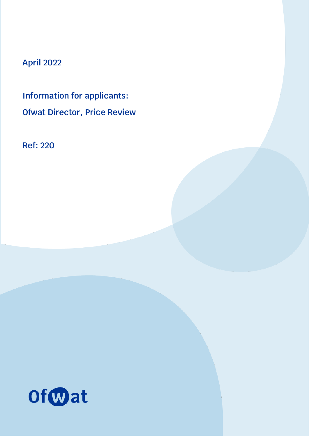# **April 2022**

**Information for applicants: Ofwat Director, Price Review**

**Ref: 220**

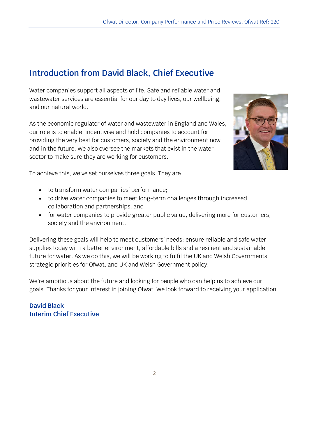# **Introduction from David Black, Chief Executive**

Water companies support all aspects of life. Safe and reliable water and wastewater services are essential for our day to day lives, our wellbeing, and our natural world.

As the economic regulator of water and wastewater in England and Wales, our role is to enable, incentivise and hold companies to account for providing the very best for customers, society and the environment now and in the future. We also oversee the markets that exist in the water sector to make sure they are working for customers.



To achieve this, we've set ourselves three goals. They are:

- to transform water companies' performance;
- to drive water companies to meet long-term challenges through increased collaboration and partnerships; and
- for water companies to provide greater public value, delivering more for customers, society and the environment.

Delivering these goals will help to meet customers' needs: ensure reliable and safe water supplies today with a better environment, affordable bills and a resilient and sustainable future for water. As we do this, we will be working to fulfil the UK and Welsh Governments' strategic priorities for Ofwat, and UK and Welsh Government policy.

We're ambitious about the future and looking for people who can help us to achieve our goals. Thanks for your interest in joining Ofwat. We look forward to receiving your application.

### **David Black Interim Chief Executive**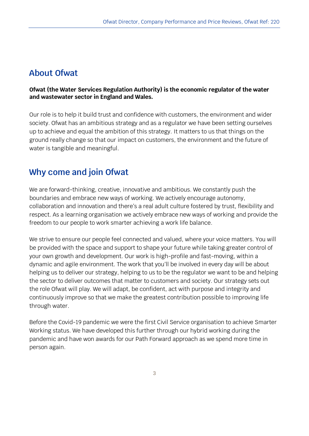### **About Ofwat**

#### **Ofwat (the Water Services Regulation Authority) is the economic regulator of the water and wastewater sector in England and Wales.**

Our role is to help it build trust and confidence with customers, the environment and wider society. Ofwat has an ambitious strategy and as a regulator we have been setting ourselves up to achieve and equal the ambition of this strategy. It matters to us that things on the ground really change so that our impact on customers, the environment and the future of water is tangible and meaningful.

## **Why come and join Ofwat**

We are forward-thinking, creative, innovative and ambitious. We constantly push the boundaries and embrace new ways of working. We actively encourage autonomy, collaboration and innovation and there's a real adult culture fostered by trust, flexibility and respect. As a learning organisation we actively embrace new ways of working and provide the freedom to our people to work smarter achieving a work life balance.

We strive to ensure our people feel connected and valued, where your voice matters. You will be provided with the space and support to shape your future while taking greater control of your own growth and development. Our work is high-profile and fast-moving, within a dynamic and agile environment. The work that you'll be involved in every day will be about helping us to deliver our strategy, helping to us to be the regulator we want to be and helping the sector to deliver outcomes that matter to customers and society. Our strategy sets out the role Ofwat will play. We will adapt, be confident, act with purpose and integrity and continuously improve so that we make the greatest contribution possible to improving life through water.

Before the Covid-19 pandemic we were the first Civil Service organisation to achieve Smarter Working status. We have developed this further through our hybrid working during the pandemic and have won awards for our Path Forward approach as we spend more time in person again.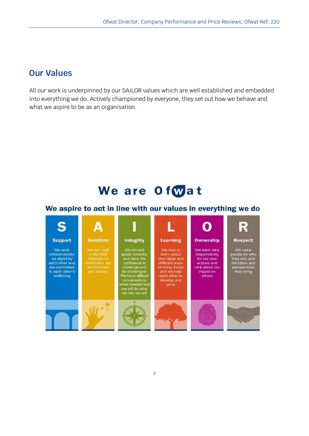### **Our Values**

All our work is underpinned by our SAILOR values which are well established and embedded into everything we do. Actively championed by everyone, they set out how we behave and what we aspire to be as an organisation.

# We are Ofwat

### We aspire to act in line with our values in everything we do

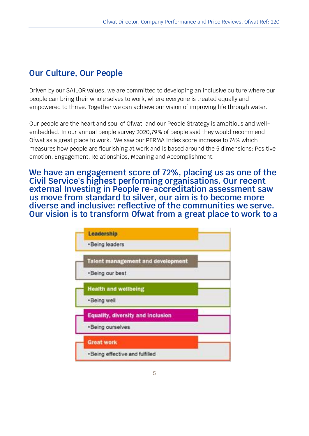# **Our Culture, Our People**

Driven by our SAILOR values, we are committed to developing an inclusive culture where our people can bring their whole selves to work, where everyone is treated equally and empowered to thrive. Together we can achieve our vision of improving life through water.

Our people are the heart and soul of Ofwat, and our People Strategy is ambitious and wellembedded. In our annual people survey 2020,79% of people said they would recommend Ofwat as a great place to work. We saw our PERMA Index score increase to 74% which measures how people are flourishing at work and is based around the 5 dimensions: Positive emotion, Engagement, Relationships, Meaning and Accomplishment.

**We have an engagement score of 72%, placing us as one of the Civil Service's highest performing organisations. Our recent external Investing in People re-accreditation assessment saw us move from standard to silver, our aim is to become more diverse and inclusive: reflective of the communities we serve. Our vision is to transform Ofwat from a great place to work to a** 

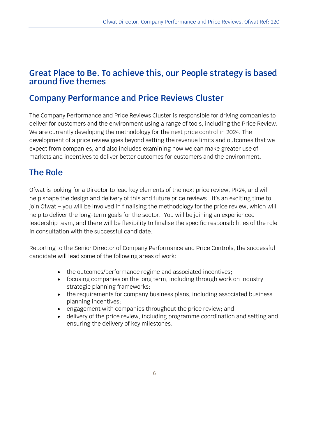### **Great Place to Be. To achieve this, our People strategy is based around five themes**

### **Company Performance and Price Reviews Cluster**

The Company Performance and Price Reviews Cluster is responsible for driving companies to deliver for customers and the environment using a range of tools, including the Price Review. We are currently developing the methodology for the next price control in 2024. The development of a price review goes beyond setting the revenue limits and outcomes that we expect from companies, and also includes examining how we can make greater use of markets and incentives to deliver better outcomes for customers and the environment.

# **The Role**

Ofwat is looking for a Director to lead key elements of the next price review, PR24, and will help shape the design and delivery of this and future price reviews. It's an exciting time to join Ofwat – you will be involved in finalising the methodology for the price review, which will help to deliver the long-term goals for the sector. You will be joining an experienced leadership team, and there will be flexibility to finalise the specific responsibilities of the role in consultation with the successful candidate.

Reporting to the Senior Director of Company Performance and Price Controls, the successful candidate will lead some of the following areas of work:

- the outcomes/performance regime and associated incentives;
- focusing companies on the long term, including through work on industry strategic planning frameworks;
- the requirements for company business plans, including associated business planning incentives;
- engagement with companies throughout the price review; and
- delivery of the price review, including programme coordination and setting and ensuring the delivery of key milestones.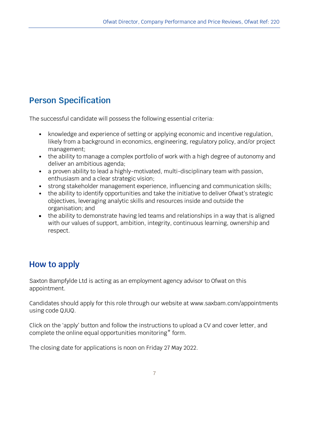# **Person Specification**

The successful candidate will possess the following essential criteria:

- knowledge and experience of setting or applying economic and incentive regulation, likely from a background in economics, engineering, regulatory policy, and/or project management;
- the ability to manage a complex portfolio of work with a high degree of autonomy and deliver an ambitious agenda;
- a proven ability to lead a highly-motivated, multi-disciplinary team with passion, enthusiasm and a clear strategic vision;
- strong stakeholder management experience, influencing and communication skills;
- the ability to identify opportunities and take the initiative to deliver Ofwat's strategic objectives, leveraging analytic skills and resources inside and outside the organisation; and
- the ability to demonstrate having led teams and relationships in a way that is aligned with our values of support, ambition, integrity, continuous learning, ownership and respect.

## **How to apply**

Saxton Bampfylde Ltd is acting as an employment agency advisor to Ofwat on this appointment.

Candidates should apply for this role through our website at www.saxbam.com/appointments using code QJUQ.

Click on the 'apply' button and follow the instructions to upload a CV and cover letter, and complete the online equal opportunities monitoring\* form.

The closing date for applications is noon on Friday 27 May 2022.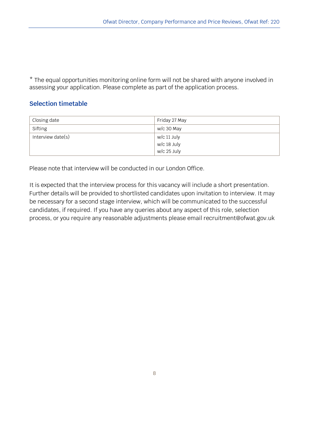\* The equal opportunities monitoring online form will not be shared with anyone involved in assessing your application. Please complete as part of the application process.

#### **Selection timetable**

| Closing date      | Friday 27 May |
|-------------------|---------------|
| Sifting           | w/c 30 May    |
| Interview date(s) | w/c 11 July   |
|                   | w/c 18 July   |
|                   | w/c 25 July   |

Please note that interview will be conducted in our London Office.

It is expected that the interview process for this vacancy will include a short presentation. Further details will be provided to shortlisted candidates upon invitation to interview. It may be necessary for a second stage interview, which will be communicated to the successful candidates, if required. If you have any queries about any aspect of this role, selection process, or you require any reasonable adjustments please email recruitment@ofwat.gov.uk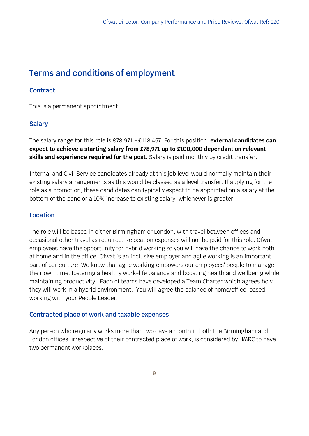# **Terms and conditions of employment**

### **Contract**

This is a permanent appointment.

### **Salary**

The salary range for this role is £78,971 - £118,457. For this position, **external candidates can expect to achieve a starting salary from £78,971 up to £100,000 dependant on relevant skills and experience required for the post.** Salary is paid monthly by credit transfer.

Internal and Civil Service candidates already at this job level would normally maintain their existing salary arrangements as this would be classed as a level transfer. If applying for the role as a promotion, these candidates can typically expect to be appointed on a salary at the bottom of the band or a 10% increase to existing salary, whichever is greater.

#### **Location**

The role will be based in either Birmingham or London, with travel between offices and occasional other travel as required. Relocation expenses will not be paid for this role. Ofwat employees have the opportunity for hybrid working so you will have the chance to work both at home and in the office. Ofwat is an inclusive employer and agile working is an important part of our culture. We know that agile working empowers our employees' people to manage their own time, fostering a healthy work-life balance and boosting health and wellbeing while maintaining productivity. Each of teams have developed a Team Charter which agrees how they will work in a hybrid environment. You will agree the balance of home/office-based working with your People Leader.

#### **Contracted place of work and taxable expenses**

Any person who regularly works more than two days a month in both the Birmingham and London offices, irrespective of their contracted place of work, is considered by HMRC to have two permanent workplaces.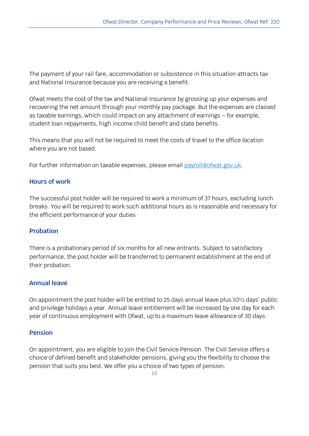The payment of your rail fare, accommodation or subsistence in this situation attracts tax and National Insurance because you are receiving a benefit.

Ofwat meets the cost of the tax and National Insurance by grossing up your expenses and recovering the net amount through your monthly pay package. But the expenses are classed as taxable earnings, which could impact on any attachment of earnings – for example, student loan repayments, high income child benefit and state benefits.

This means that you will not be required to meet the costs of travel to the office location where you are not based.

For further information on taxable expenses, please email [payroll@ofwat.gov.uk.](mailto:payroll@ofwat.gov.uk)

#### **Hours of work**

The successful post holder will be required to work a minimum of 37 hours, excluding lunch breaks. You will be required to work such additional hours as is reasonable and necessary for the efficient performance of your duties

#### **Probation**

There is a probationary period of six months for all new entrants. Subject to satisfactory performance, the post holder will be transferred to permanent establishment at the end of their probation.

#### **Annual leave**

On appointment the post holder will be entitled to 25 days annual leave plus 10½ days' public and privilege holidays a year. Annual leave entitlement will be increased by one day for each year of continuous employment with Ofwat, up to a maximum leave allowance of 30 days.

#### **Pension**

On appointment, you are eligible to join the Civil Service Pension. The Civil Service offers a choice of defined benefit and stakeholder pensions, giving you the flexibility to choose the pension that suits you best. We offer you a choice of two types of pension.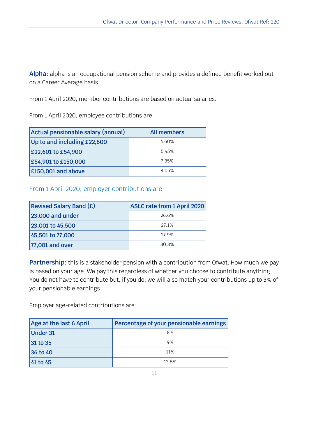**Alpha:** alpha is an occupational pension scheme and provides a defined benefit worked out on a Career Average basis.

From 1 April 2020, member contributions are based on actual salaries.

From 1 April 2020, employee contributions are:

| Actual pensionable salary (annual) | <b>All members</b> |
|------------------------------------|--------------------|
| Up to and including $£22,600$      | 4.60%              |
| £22,601 to £54,900                 | 5.45%              |
| £54,901 to £150,000                | 7.35%              |
| £150,001 and above                 | 8.05%              |

From 1 April 2020, employer contributions are:

| <b>Revised Salary Band (£)</b> | <b>ASLC rate from 1 April 2020</b> |
|--------------------------------|------------------------------------|
| 23,000 and under               | 26.6%                              |
| 23,001 to 45,500               | 27.1%                              |
| 45,501 to 77,000               | 27.9%                              |
| 77,001 and over                | 30.3%                              |

**Partnership:** this is a stakeholder pension with a contribution from Ofwat. How much we pay is based on your age. We pay this regardless of whether you choose to contribute anything. You do not have to contribute but, if you do, we will also match your contributions up to 3% of your pensionable earnings.

Employer age-related contributions are:

| Age at the last 6 April | Percentage of your pensionable earnings |
|-------------------------|-----------------------------------------|
| <b>Under 31</b>         | 8%                                      |
| 31 to 35                | 9%                                      |
| 36 to 40                | 11%                                     |
| 41 to 45                | 13.5%                                   |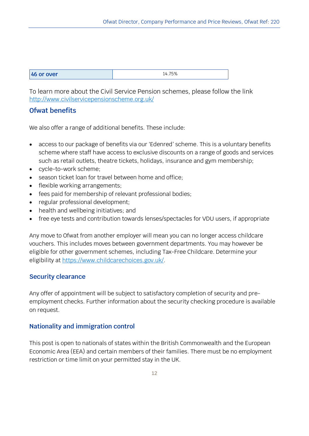| 46 or over | 4.75%<br>- |
|------------|------------|
|            |            |

To learn more about the Civil Service Pension schemes, please follow the link <http://www.civilservicepensionscheme.org.uk/>

#### **Ofwat benefits**

We also offer a range of additional benefits. These include:

- access to our package of benefits via our 'Edenred' scheme. This is a voluntary benefits scheme where staff have access to exclusive discounts on a range of goods and services such as retail outlets, theatre tickets, holidays, insurance and gym membership;
- cycle-to-work scheme;
- season ticket loan for travel between home and office;
- flexible working arrangements;
- fees paid for membership of relevant professional bodies;
- regular professional development;
- health and wellbeing initiatives; and
- free eye tests and contribution towards lenses/spectacles for VDU users, if appropriate

Any move to Ofwat from another employer will mean you can no longer access childcare vouchers. This includes moves between government departments. You may however be eligible for other government schemes, including Tax-Free Childcare. Determine your eligibility at [https://www.childcarechoices.gov.uk/.](https://www.childcarechoices.gov.uk/)

### **Security clearance**

Any offer of appointment will be subject to satisfactory completion of security and preemployment checks. Further information about the security checking procedure is available on request.

### **Nationality and immigration control**

This post is open to nationals of states within the British Commonwealth and the European Economic Area (EEA) and certain members of their families. There must be no employment restriction or time limit on your permitted stay in the UK.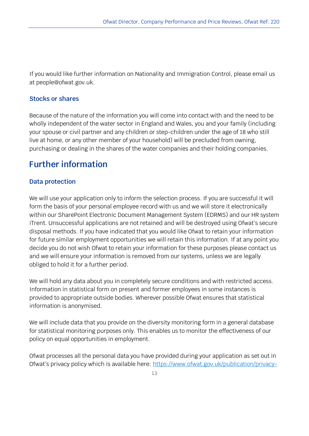If you would like further information on Nationality and Immigration Control, please email us at people@ofwat.gov.uk.

#### **Stocks or shares**

Because of the nature of the information you will come into contact with and the need to be wholly independent of the water sector in England and Wales, you and your family (including your spouse or civil partner and any children or step-children under the age of 18 who still live at home, or any other member of your household) will be precluded from owning, purchasing or dealing in the shares of the water companies and their holding companies.

## **Further information**

#### **Data protection**

We will use your application only to inform the selection process. If you are successful it will form the basis of your personal employee record with us and we will store it electronically within our SharePoint Electronic Document Management System (EDRMS) and our HR system iTrent. Unsuccessful applications are not retained and will be destroyed using Ofwat's secure disposal methods. If you have indicated that you would like Ofwat to retain your information for future similar employment opportunities we will retain this information. If at any point you decide you do not wish Ofwat to retain your information for these purposes please contact us and we will ensure your information is removed from our systems, unless we are legally obliged to hold it for a further period.

We will hold any data about you in completely secure conditions and with restricted access. Information in statistical form on present and former employees in some instances is provided to appropriate outside bodies. Wherever possible Ofwat ensures that statistical information is anonymised.

We will include data that you provide on the diversity monitoring form in a general database for statistical monitoring purposes only. This enables us to monitor the effectiveness of our policy on equal opportunities in employment.

Ofwat processes all the personal data you have provided during your application as set out in Ofwat's privacy policy which is available here: [https://www.ofwat.gov.uk/publication/privacy-](https://www.ofwat.gov.uk/publication/privacy-policy/)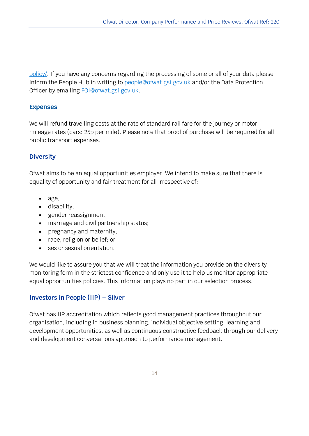[policy/.](https://www.ofwat.gov.uk/publication/privacy-policy/) If you have any concerns regarding the processing of some or all of your data please inform the People Hub in writing to [people@ofwat.gsi.gov.uk](mailto:people@ofwat.gsi.gov.uk) and/or the Data Protection Officer by emailing [FOI@ofwat.gsi.gov.uk.](mailto:FOI@ofwat.gsi.gov.uk)

#### **Expenses**

We will refund travelling costs at the rate of standard rail fare for the journey or motor mileage rates (cars: 25p per mile). Please note that proof of purchase will be required for all public transport expenses.

#### **Diversity**

Ofwat aims to be an equal opportunities employer. We intend to make sure that there is equality of opportunity and fair treatment for all irrespective of:

- age;
- disability;
- gender reassignment;
- marriage and civil partnership status;
- pregnancy and maternity;
- race, religion or belief; or
- sex or sexual orientation.

We would like to assure you that we will treat the information you provide on the diversity monitoring form in the strictest confidence and only use it to help us monitor appropriate equal opportunities policies. This information plays no part in our selection process.

### **Investors in People (IIP) – Silver**

Ofwat has IIP accreditation which reflects good management practices throughout our organisation, including in business planning, individual objective setting, learning and development opportunities, as well as continuous constructive feedback through our delivery and development conversations approach to performance management.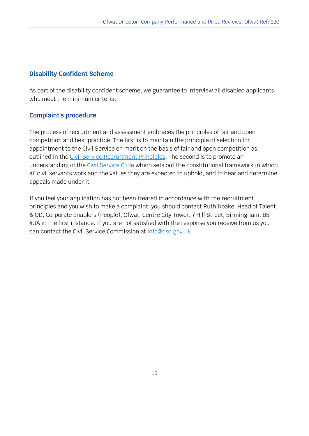### **Disability Confident Scheme**

As part of the disability confident scheme, we guarantee to interview all disabled applicants who meet the minimum criteria.

#### **Complaint's procedure**

The process of recruitment and assessment embraces the principles of fair and open competition and best practice. The first is to maintain the principle of selection for appointment to the Civil Service on merit on the basis of fair and open competition as outlined in the [Civil Service Recruitment Principles.](http://civilservicecommission.independent.gov.uk/civil-service-recruitment/) The second is to promote an understanding of the [Civil Service Code](http://resources.civilservice.gov.uk/wp-content/uploads/2011/09/civil-service-code-2010.pdf) which sets out the constitutional framework in which all civil servants work and the values they are expected to uphold, and to hear and determine appeals made under it.

If you feel your application has not been treated in accordance with the recruitment principles and you wish to make a complaint, you should contact Ruth Noake, Head of Talent & OD, Corporate Enablers (People), Ofwat, Centre City Tower, 7 Hill Street, Birmingham, B5 4UA in the first instance. If you are not satisfied with the response you receive from us you can contact the Civil Service Commission at [info@csc.gov.uk.](mailto:info@csc.gov.uk)